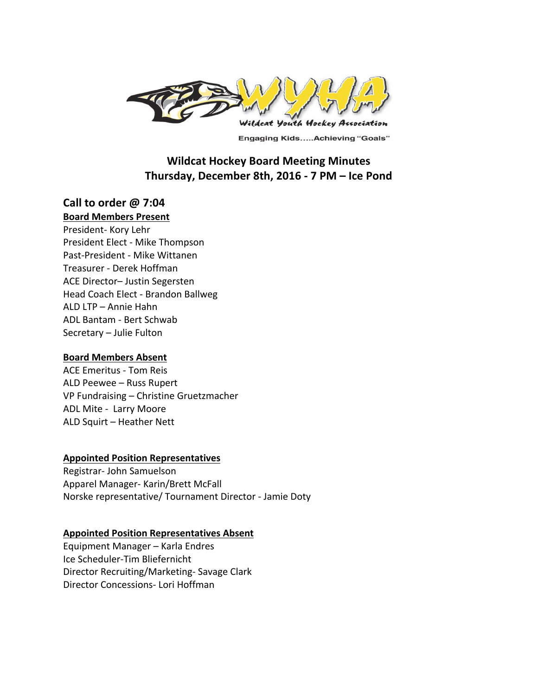

**Engaging Kids.....Achieving "Goals"** 

# **Wildcat Hockey Board Meeting Minutes** Thursday, December 8th, 2016 - 7 PM - Ice Pond

# **Call to order @ 7:04**

#### **Board Members Present**

President- Kory Lehr President Elect - Mike Thompson Past-President - Mike Wittanen Treasurer - Derek Hoffman ACE Director- Justin Segersten Head Coach Elect - Brandon Ballweg ALD LTP – Annie Hahn ADL Bantam - Bert Schwab Secretary - Julie Fulton

#### **Board Members Absent**

ACE Emeritus - Tom Reis ALD Peewee - Russ Rupert VP Fundraising - Christine Gruetzmacher ADL Mite - Larry Moore ALD Squirt - Heather Nett

#### **Appointed Position Representatives**

Registrar- John Samuelson Apparel Manager- Karin/Brett McFall Norske representative/ Tournament Director - Jamie Doty

#### **Appointed Position Representatives Absent**

Equipment Manager - Karla Endres Ice Scheduler-Tim Bliefernicht Director Recruiting/Marketing- Savage Clark Director Concessions- Lori Hoffman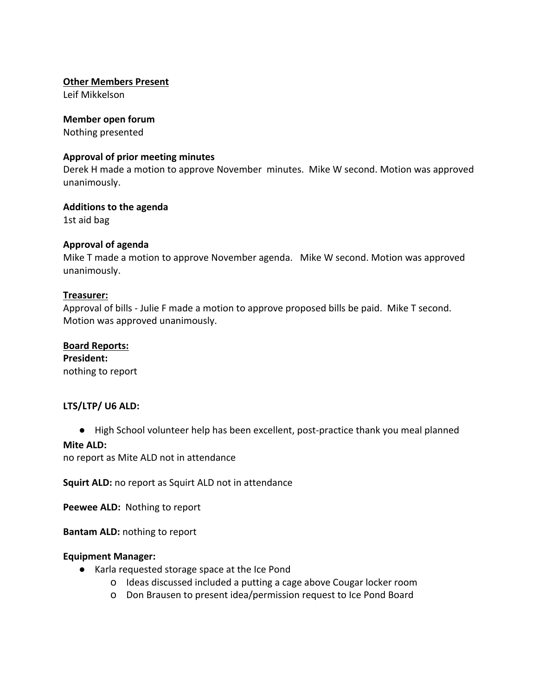## **Other Members Present**

Leif Mikkelson

## **Member open forum**

Nothing presented

## **Approval of prior meeting minutes**

Derek H made a motion to approve November minutes. Mike W second. Motion was approved unanimously. 

## **Additions to the agenda**

1st aid bag

# **Approval of agenda**

Mike T made a motion to approve November agenda. Mike W second. Motion was approved unanimously. 

## **Treasurer:**

Approval of bills - Julie F made a motion to approve proposed bills be paid. Mike T second. Motion was approved unanimously.

#### **Board Reports:**

**President:** nothing to report

# LTS/LTP/ U6 ALD:

● High School volunteer help has been excellent, post-practice thank you meal planned

#### **Mite ALD:**

no report as Mite ALD not in attendance

**Squirt ALD:** no report as Squirt ALD not in attendance

**Peewee ALD:** Nothing to report

**Bantam ALD:** nothing to report

#### **Equipment Manager:**

- Karla requested storage space at the Ice Pond
	- o Ideas discussed included a putting a cage above Cougar locker room
	- o Don Brausen to present idea/permission request to Ice Pond Board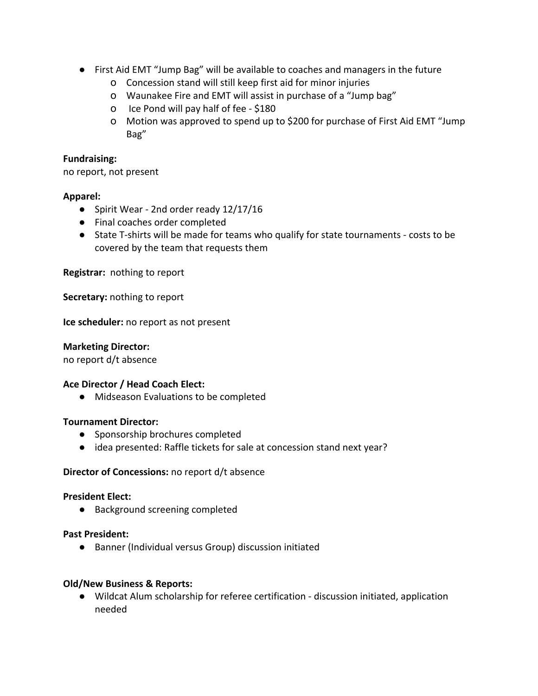- First Aid EMT "Jump Bag" will be available to coaches and managers in the future
	- o Concession stand will still keep first aid for minor injuries
	- O Waunakee Fire and EMT will assist in purchase of a "Jump bag"
	- o Ice Pond will pay half of fee \$180
	- o Motion was approved to spend up to \$200 for purchase of First Aid EMT "Jump Bag"

## **Fundraising:**

no report, not present

## **Apparel:**

- Spirit Wear 2nd order ready 12/17/16
- Final coaches order completed
- State T-shirts will be made for teams who qualify for state tournaments costs to be covered by the team that requests them

**Registrar:** nothing to report

**Secretary:** nothing to report

**Ice scheduler:** no report as not present

#### **Marketing Director:**

no report d/t absence

#### **Ace Director / Head Coach Elect:**

● Midseason Evaluations to be completed

#### **Tournament Director:**

- Sponsorship brochures completed
- idea presented: Raffle tickets for sale at concession stand next year?

#### **Director of Concessions:** no report d/t absence

#### **President Elect:**

● Background screening completed

#### **Past President:**

● Banner (Individual versus Group) discussion initiated

#### **Old/New Business & Reports:**

● Wildcat Alum scholarship for referee certification - discussion initiated, application needed